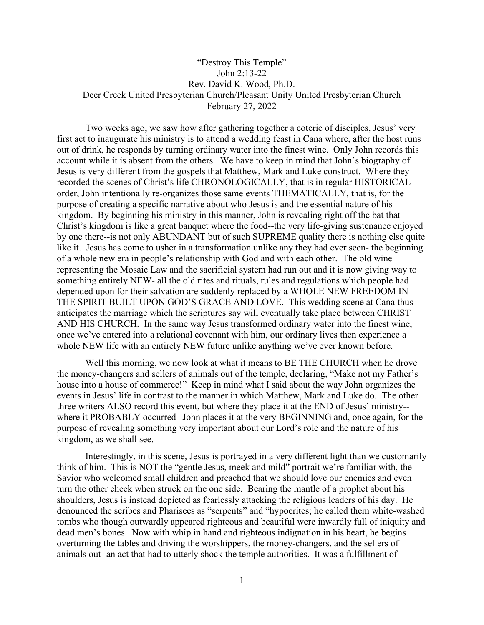## "Destroy This Temple" John 2:13-22 Rev. David K. Wood, Ph.D. Deer Creek United Presbyterian Church/Pleasant Unity United Presbyterian Church February 27, 2022

Two weeks ago, we saw how after gathering together a coterie of disciples, Jesus' very first act to inaugurate his ministry is to attend a wedding feast in Cana where, after the host runs out of drink, he responds by turning ordinary water into the finest wine. Only John records this account while it is absent from the others. We have to keep in mind that John's biography of Jesus is very different from the gospels that Matthew, Mark and Luke construct. Where they recorded the scenes of Christ's life CHRONOLOGICALLY, that is in regular HISTORICAL order, John intentionally re-organizes those same events THEMATICALLY, that is, for the purpose of creating a specific narrative about who Jesus is and the essential nature of his kingdom. By beginning his ministry in this manner, John is revealing right off the bat that Christ's kingdom is like a great banquet where the food--the very life-giving sustenance enjoyed by one there--is not only ABUNDANT but of such SUPREME quality there is nothing else quite like it. Jesus has come to usher in a transformation unlike any they had ever seen- the beginning of a whole new era in people's relationship with God and with each other. The old wine representing the Mosaic Law and the sacrificial system had run out and it is now giving way to something entirely NEW- all the old rites and rituals, rules and regulations which people had depended upon for their salvation are suddenly replaced by a WHOLE NEW FREEDOM IN THE SPIRIT BUILT UPON GOD'S GRACE AND LOVE. This wedding scene at Cana thus anticipates the marriage which the scriptures say will eventually take place between CHRIST AND HIS CHURCH. In the same way Jesus transformed ordinary water into the finest wine, once we've entered into a relational covenant with him, our ordinary lives then experience a whole NEW life with an entirely NEW future unlike anything we've ever known before.

Well this morning, we now look at what it means to BE THE CHURCH when he drove the money-changers and sellers of animals out of the temple, declaring, "Make not my Father's house into a house of commerce!" Keep in mind what I said about the way John organizes the events in Jesus' life in contrast to the manner in which Matthew, Mark and Luke do. The other three writers ALSO record this event, but where they place it at the END of Jesus' ministry- where it PROBABLY occurred--John places it at the very BEGINNING and, once again, for the purpose of revealing something very important about our Lord's role and the nature of his kingdom, as we shall see.

Interestingly, in this scene, Jesus is portrayed in a very different light than we customarily think of him. This is NOT the "gentle Jesus, meek and mild" portrait we're familiar with, the Savior who welcomed small children and preached that we should love our enemies and even turn the other cheek when struck on the one side. Bearing the mantle of a prophet about his shoulders, Jesus is instead depicted as fearlessly attacking the religious leaders of his day. He denounced the scribes and Pharisees as "serpents" and "hypocrites; he called them white-washed tombs who though outwardly appeared righteous and beautiful were inwardly full of iniquity and dead men's bones. Now with whip in hand and righteous indignation in his heart, he begins overturning the tables and driving the worshippers, the money-changers, and the sellers of animals out- an act that had to utterly shock the temple authorities. It was a fulfillment of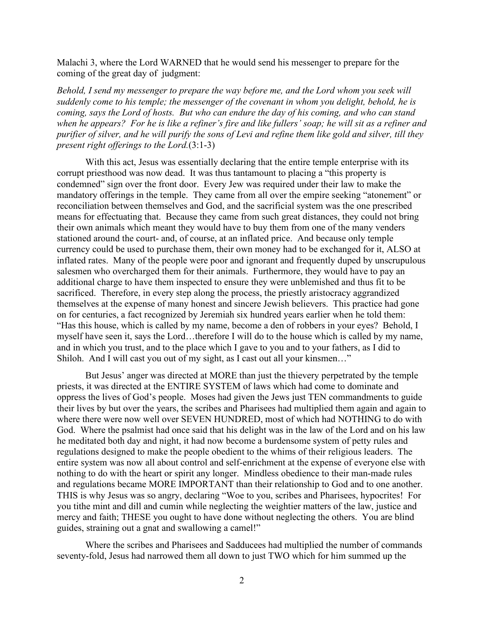Malachi 3, where the Lord WARNED that he would send his messenger to prepare for the coming of the great day of judgment:

*Behold, I send my messenger to prepare the way before me, and the Lord whom you seek will suddenly come to his temple; the messenger of the covenant in whom you delight, behold, he is coming, says the Lord of hosts. But who can endure the day of his coming, and who can stand when he appears? For he is like a refiner's fire and like fullers' soap; he will sit as a refiner and purifier of silver, and he will purify the sons of Levi and refine them like gold and silver, till they present right offerings to the Lord.*(3:1-3)

With this act, Jesus was essentially declaring that the entire temple enterprise with its corrupt priesthood was now dead. It was thus tantamount to placing a "this property is condemned" sign over the front door. Every Jew was required under their law to make the mandatory offerings in the temple. They came from all over the empire seeking "atonement" or reconciliation between themselves and God, and the sacrificial system was the one prescribed means for effectuating that. Because they came from such great distances, they could not bring their own animals which meant they would have to buy them from one of the many venders stationed around the court- and, of course, at an inflated price. And because only temple currency could be used to purchase them, their own money had to be exchanged for it, ALSO at inflated rates. Many of the people were poor and ignorant and frequently duped by unscrupulous salesmen who overcharged them for their animals. Furthermore, they would have to pay an additional charge to have them inspected to ensure they were unblemished and thus fit to be sacrificed. Therefore, in every step along the process, the priestly aristocracy aggrandized themselves at the expense of many honest and sincere Jewish believers. This practice had gone on for centuries, a fact recognized by Jeremiah six hundred years earlier when he told them: "Has this house, which is called by my name, become a den of robbers in your eyes? Behold, I myself have seen it, says the Lord…therefore I will do to the house which is called by my name, and in which you trust, and to the place which I gave to you and to your fathers, as I did to Shiloh. And I will cast you out of my sight, as I cast out all your kinsmen…"

But Jesus' anger was directed at MORE than just the thievery perpetrated by the temple priests, it was directed at the ENTIRE SYSTEM of laws which had come to dominate and oppress the lives of God's people. Moses had given the Jews just TEN commandments to guide their lives by but over the years, the scribes and Pharisees had multiplied them again and again to where there were now well over SEVEN HUNDRED, most of which had NOTHING to do with God. Where the psalmist had once said that his delight was in the law of the Lord and on his law he meditated both day and night, it had now become a burdensome system of petty rules and regulations designed to make the people obedient to the whims of their religious leaders. The entire system was now all about control and self-enrichment at the expense of everyone else with nothing to do with the heart or spirit any longer. Mindless obedience to their man-made rules and regulations became MORE IMPORTANT than their relationship to God and to one another. THIS is why Jesus was so angry, declaring "Woe to you, scribes and Pharisees, hypocrites! For you tithe mint and dill and cumin while neglecting the weightier matters of the law, justice and mercy and faith; THESE you ought to have done without neglecting the others. You are blind guides, straining out a gnat and swallowing a camel!"

Where the scribes and Pharisees and Sadducees had multiplied the number of commands seventy-fold, Jesus had narrowed them all down to just TWO which for him summed up the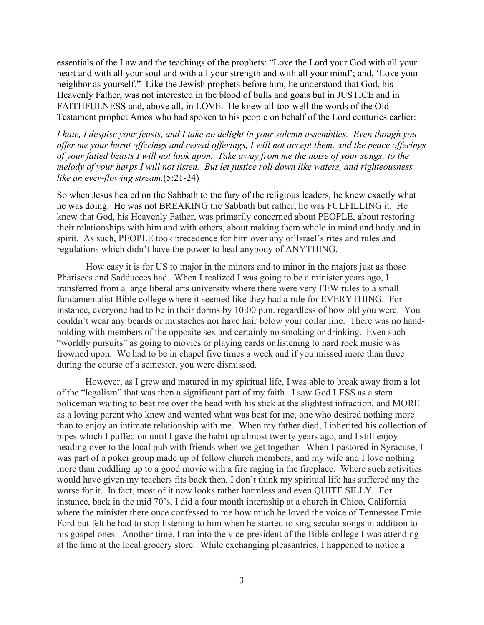essentials of the Law and the teachings of the prophets: "Love the Lord your God with all your heart and with all your soul and with all your strength and with all your mind'; and, 'Love your neighbor as yourself." Like the Jewish prophets before him, he understood that God, his Heavenly Father, was not interested in the blood of bulls and goats but in JUSTICE and in FAITHFULNESS and, above all, in LOVE. He knew all-too-well the words of the Old Testament prophet Amos who had spoken to his people on behalf of the Lord centuries earlier:

*I hate, I despise your feasts, and I take no delight in your solemn assemblies. Even though you offer me your burnt offerings and cereal offerings, I will not accept them, and the peace offerings of your fatted beasts I will not look upon. Take away from me the noise of your songs; to the melody of your harps I will not listen. But let justice roll down like waters, and righteousness like an ever-flowing stream.*(5:21-24)

So when Jesus healed on the Sabbath to the fury of the religious leaders, he knew exactly what he was doing. He was not BREAKING the Sabbath but rather, he was FULFILLING it. He knew that God, his Heavenly Father, was primarily concerned about PEOPLE, about restoring their relationships with him and with others, about making them whole in mind and body and in spirit. As such, PEOPLE took precedence for him over any of Israel's rites and rules and regulations which didn't have the power to heal anybody of ANYTHING.

How easy it is for US to major in the minors and to minor in the majors just as those Pharisees and Sadducees had. When I realized I was going to be a minister years ago, I transferred from a large liberal arts university where there were very FEW rules to a small fundamentalist Bible college where it seemed like they had a rule for EVERYTHING. For instance, everyone had to be in their dorms by 10:00 p.m. regardless of how old you were. You couldn't wear any beards or mustaches nor have hair below your collar line. There was no handholding with members of the opposite sex and certainly no smoking or drinking. Even such "worldly pursuits" as going to movies or playing cards or listening to hard rock music was frowned upon. We had to be in chapel five times a week and if you missed more than three during the course of a semester, you were dismissed.

However, as I grew and matured in my spiritual life, I was able to break away from a lot of the "legalism" that was then a significant part of my faith. I saw God LESS as a stern policeman waiting to beat me over the head with his stick at the slightest infraction, and MORE as a loving parent who knew and wanted what was best for me, one who desired nothing more than to enjoy an intimate relationship with me. When my father died, I inherited his collection of pipes which I puffed on until I gave the habit up almost twenty years ago, and I still enjoy heading over to the local pub with friends when we get together. When I pastored in Syracuse, I was part of a poker group made up of fellow church members, and my wife and I love nothing more than cuddling up to a good movie with a fire raging in the fireplace. Where such activities would have given my teachers fits back then, I don't think my spiritual life has suffered any the worse for it. In fact, most of it now looks rather harmless and even QUITE SILLY. For instance, back in the mid 70's, I did a four month internship at a church in Chico, California where the minister there once confessed to me how much he loved the voice of Tennessee Ernie Ford but felt he had to stop listening to him when he started to sing secular songs in addition to his gospel ones. Another time, I ran into the vice-president of the Bible college I was attending at the time at the local grocery store. While exchanging pleasantries, I happened to notice a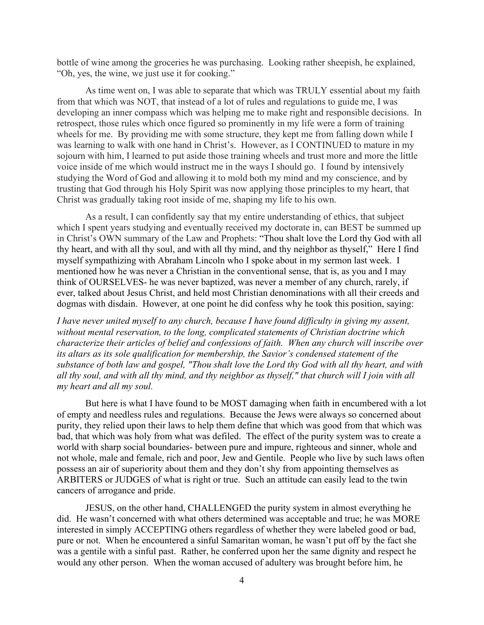bottle of wine among the groceries he was purchasing. Looking rather sheepish, he explained, "Oh, yes, the wine, we just use it for cooking."

As time went on, I was able to separate that which was TRULY essential about my faith from that which was NOT, that instead of a lot of rules and regulations to guide me, I was developing an inner compass which was helping me to make right and responsible decisions. In retrospect, those rules which once figured so prominently in my life were a form of training wheels for me. By providing me with some structure, they kept me from falling down while I was learning to walk with one hand in Christ's. However, as I CONTINUED to mature in my sojourn with him, I learned to put aside those training wheels and trust more and more the little voice inside of me which would instruct me in the ways I should go. I found by intensively studying the Word of God and allowing it to mold both my mind and my conscience, and by trusting that God through his Holy Spirit was now applying those principles to my heart, that Christ was gradually taking root inside of me, shaping my life to his own.

As a result, I can confidently say that my entire understanding of ethics, that subject which I spent years studying and eventually received my doctorate in, can BEST be summed up in Christ's OWN summary of the Law and Prophets: "Thou shalt love the Lord thy God with all thy heart, and with all thy soul, and with all thy mind, and thy neighbor as thyself," Here I find myself sympathizing with Abraham Lincoln who I spoke about in my sermon last week. I mentioned how he was never a Christian in the conventional sense, that is, as you and I may think of OURSELVES- he was never baptized, was never a member of any church, rarely, if ever, talked about Jesus Christ, and held most Christian denominations with all their creeds and dogmas with disdain. However, at one point he did confess why he took this position, saying:

*I have never united myself to any church, because I have found difficulty in giving my assent, without mental reservation, to the long, complicated statements of Christian doctrine which characterize their articles of belief and confessions of faith. When any church will inscribe over its altars as its sole qualification for membership, the Savior's condensed statement of the substance of both law and gospel, "Thou shalt love the Lord thy God with all thy heart, and with all thy soul, and with all thy mind, and thy neighbor as thyself," that church will I join with all my heart and all my soul.*

But here is what I have found to be MOST damaging when faith in encumbered with a lot of empty and needless rules and regulations. Because the Jews were always so concerned about purity, they relied upon their laws to help them define that which was good from that which was bad, that which was holy from what was defiled. The effect of the purity system was to create a world with sharp social boundaries- between pure and impure, righteous and sinner, whole and not whole, male and female, rich and poor, Jew and Gentile. People who live by such laws often possess an air of superiority about them and they don't shy from appointing themselves as ARBITERS or JUDGES of what is right or true. Such an attitude can easily lead to the twin cancers of arrogance and pride.

JESUS, on the other hand, CHALLENGED the purity system in almost everything he did. He wasn't concerned with what others determined was acceptable and true; he was MORE interested in simply ACCEPTING others regardless of whether they were labeled good or bad, pure or not. When he encountered a sinful Samaritan woman, he wasn't put off by the fact she was a gentile with a sinful past. Rather, he conferred upon her the same dignity and respect he would any other person. When the woman accused of adultery was brought before him, he